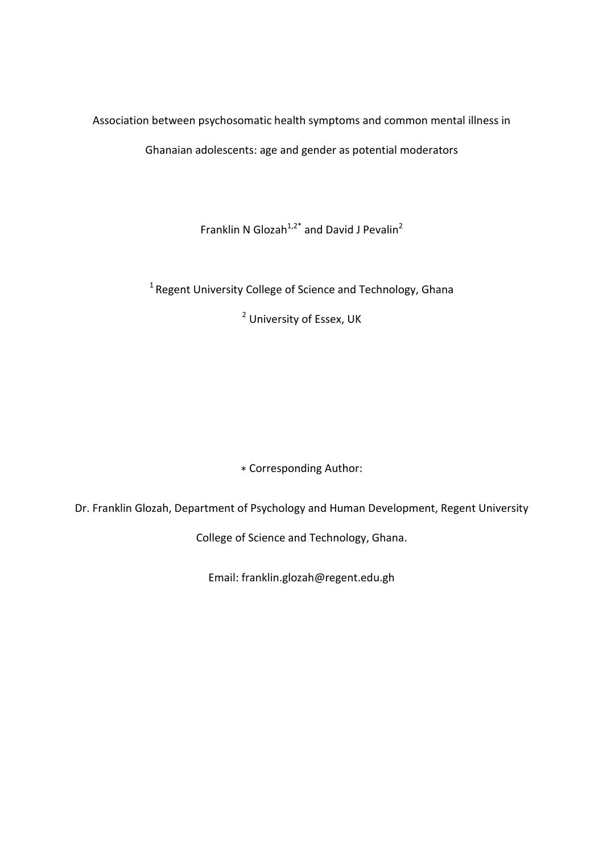Association between psychosomatic health symptoms and common mental illness in Ghanaian adolescents: age and gender as potential moderators

Franklin N Glozah<sup>1,2\*</sup> and David J Pevalin<sup>2</sup>

 $1$ Regent University College of Science and Technology, Ghana

<sup>2</sup> University of Essex, UK

∗ Corresponding Author:

Dr. Franklin Glozah, Department of Psychology and Human Development, Regent University

College of Science and Technology, Ghana.

Email: franklin.glozah@regent.edu.gh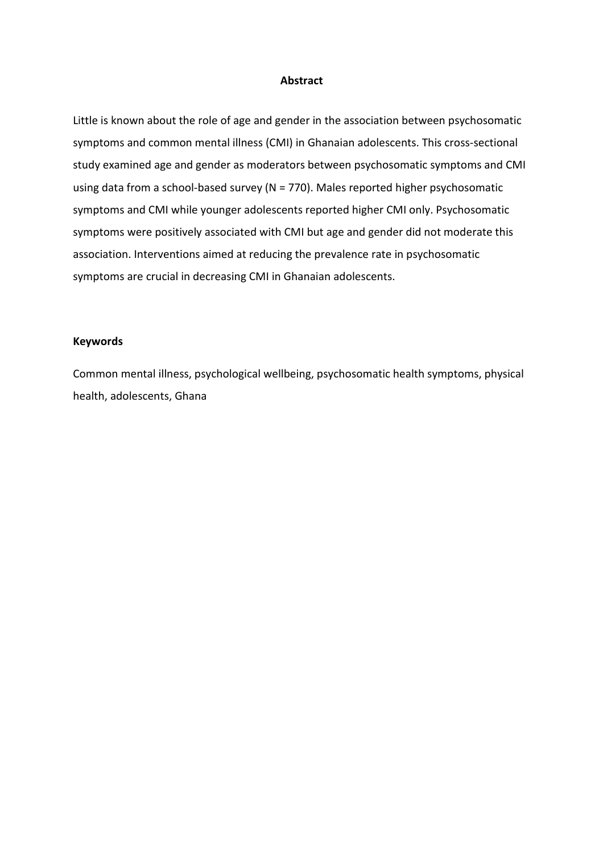### **Abstract**

Little is known about the role of age and gender in the association between psychosomatic symptoms and common mental illness (CMI) in Ghanaian adolescents. This cross-sectional study examined age and gender as moderators between psychosomatic symptoms and CMI using data from a school-based survey (N = 770). Males reported higher psychosomatic symptoms and CMI while younger adolescents reported higher CMI only. Psychosomatic symptoms were positively associated with CMI but age and gender did not moderate this association. Interventions aimed at reducing the prevalence rate in psychosomatic symptoms are crucial in decreasing CMI in Ghanaian adolescents.

## **Keywords**

Common mental illness, psychological wellbeing, psychosomatic health symptoms, physical health, adolescents, Ghana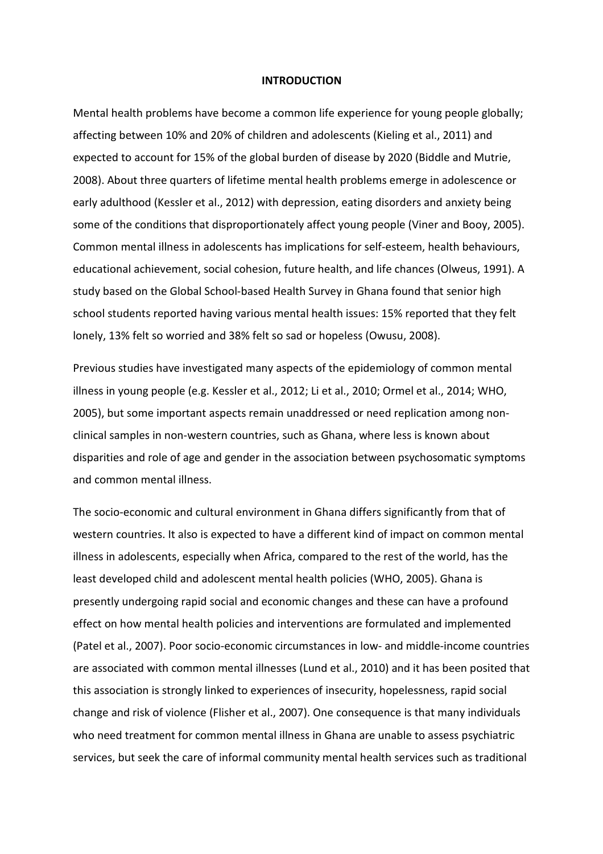#### **INTRODUCTION**

Mental health problems have become a common life experience for young people globally; affecting between 10% and 20% of children and adolescents (Kieling et al., 2011) and expected to account for 15% of the global burden of disease by 2020 (Biddle and Mutrie, 2008). About three quarters of lifetime mental health problems emerge in adolescence or early adulthood (Kessler et al., 2012) with depression, eating disorders and anxiety being some of the conditions that disproportionately affect young people (Viner and Booy, 2005). Common mental illness in adolescents has implications for self-esteem, health behaviours, educational achievement, social cohesion, future health, and life chances (Olweus, 1991). A study based on the Global School-based Health Survey in Ghana found that senior high school students reported having various mental health issues: 15% reported that they felt lonely, 13% felt so worried and 38% felt so sad or hopeless (Owusu, 2008).

Previous studies have investigated many aspects of the epidemiology of common mental illness in young people (e.g. Kessler et al., 2012; Li et al., 2010; Ormel et al., 2014; WHO, 2005), but some important aspects remain unaddressed or need replication among nonclinical samples in non-western countries, such as Ghana, where less is known about disparities and role of age and gender in the association between psychosomatic symptoms and common mental illness.

The socio-economic and cultural environment in Ghana differs significantly from that of western countries. It also is expected to have a different kind of impact on common mental illness in adolescents, especially when Africa, compared to the rest of the world, has the least developed child and adolescent mental health policies (WHO, 2005). Ghana is presently undergoing rapid social and economic changes and these can have a profound effect on how mental health policies and interventions are formulated and implemented (Patel et al., 2007). Poor socio-economic circumstances in low- and middle-income countries are associated with common mental illnesses (Lund et al., 2010) and it has been posited that this association is strongly linked to experiences of insecurity, hopelessness, rapid social change and risk of violence (Flisher et al., 2007). One consequence is that many individuals who need treatment for common mental illness in Ghana are unable to assess psychiatric services, but seek the care of informal community mental health services such as traditional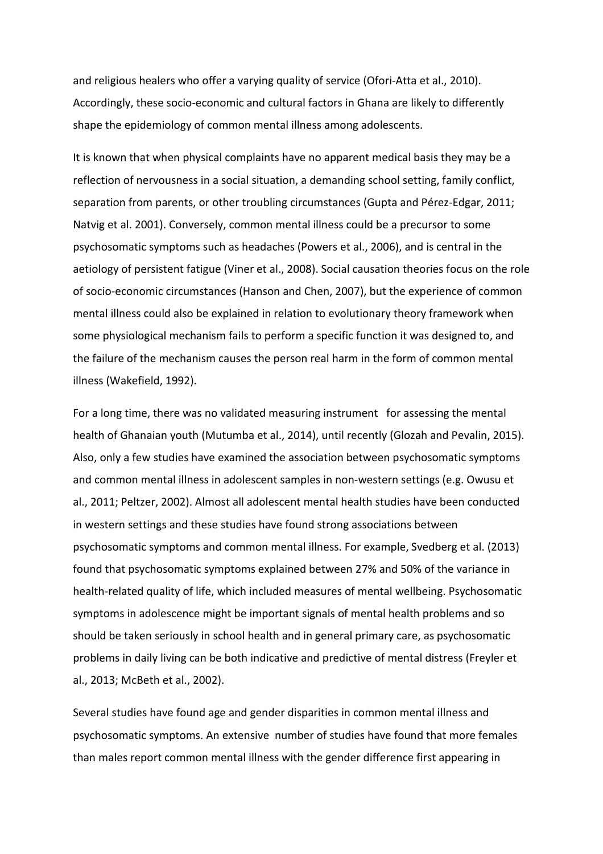and religious healers who offer a varying quality of service (Ofori-Atta et al., 2010). Accordingly, these socio-economic and cultural factors in Ghana are likely to differently shape the epidemiology of common mental illness among adolescents.

It is known that when physical complaints have no apparent medical basis they may be a reflection of nervousness in a social situation, a demanding school setting, family conflict, separation from parents, or other troubling circumstances (Gupta and Pérez-Edgar, 2011; Natvig et al. 2001). Conversely, common mental illness could be a precursor to some psychosomatic symptoms such as headaches (Powers et al., 2006), and is central in the aetiology of persistent fatigue (Viner et al., 2008). Social causation theories focus on the role of socio-economic circumstances (Hanson and Chen, 2007), but the experience of common mental illness could also be explained in relation to evolutionary theory framework when some physiological mechanism fails to perform a specific function it was designed to, and the failure of the mechanism causes the person real harm in the form of common mental illness (Wakefield, 1992).

For a long time, there was no validated measuring instrument for assessing the mental health of Ghanaian youth (Mutumba et al., 2014), until recently (Glozah and Pevalin, 2015). Also, only a few studies have examined the association between psychosomatic symptoms and common mental illness in adolescent samples in non-western settings (e.g. Owusu et al., 2011; Peltzer, 2002). Almost all adolescent mental health studies have been conducted in western settings and these studies have found strong associations between psychosomatic symptoms and common mental illness. For example, Svedberg et al. (2013) found that psychosomatic symptoms explained between 27% and 50% of the variance in health-related quality of life, which included measures of mental wellbeing. Psychosomatic symptoms in adolescence might be important signals of mental health problems and so should be taken seriously in school health and in general primary care, as psychosomatic problems in daily living can be both indicative and predictive of mental distress (Freyler et al., 2013; McBeth et al., 2002).

Several studies have found age and gender disparities in common mental illness and psychosomatic symptoms. An extensive number of studies have found that more females than males report common mental illness with the gender difference first appearing in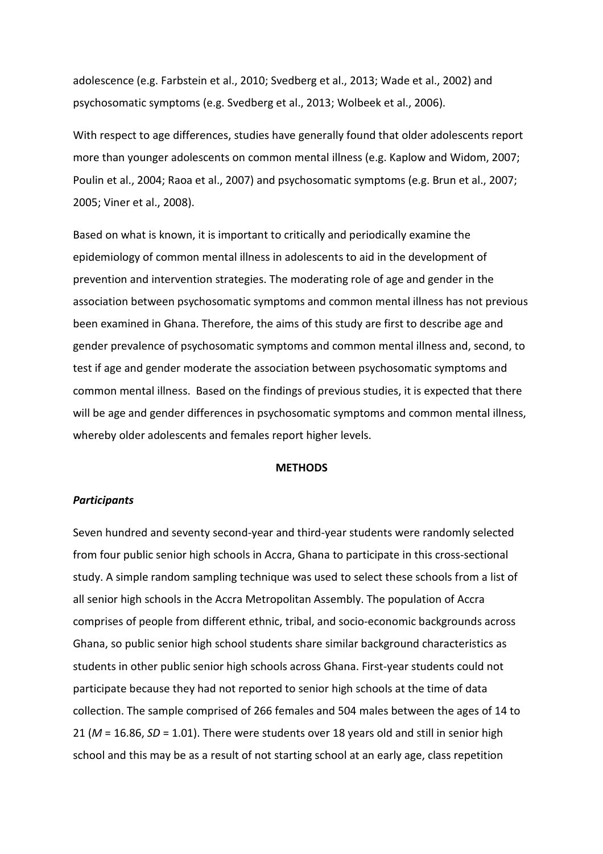adolescence (e.g. Farbstein et al., 2010; Svedberg et al., 2013; Wade et al., 2002) and psychosomatic symptoms (e.g. Svedberg et al., 2013; Wolbeek et al., 2006).

With respect to age differences, studies have generally found that older adolescents report more than younger adolescents on common mental illness (e.g. Kaplow and Widom, 2007; Poulin et al., 2004; Raoa et al., 2007) and psychosomatic symptoms (e.g. Brun et al., 2007; 2005; Viner et al., 2008).

Based on what is known, it is important to critically and periodically examine the epidemiology of common mental illness in adolescents to aid in the development of prevention and intervention strategies. The moderating role of age and gender in the association between psychosomatic symptoms and common mental illness has not previous been examined in Ghana. Therefore, the aims of this study are first to describe age and gender prevalence of psychosomatic symptoms and common mental illness and, second, to test if age and gender moderate the association between psychosomatic symptoms and common mental illness. Based on the findings of previous studies, it is expected that there will be age and gender differences in psychosomatic symptoms and common mental illness, whereby older adolescents and females report higher levels.

#### **METHODS**

#### *Participants*

Seven hundred and seventy second-year and third-year students were randomly selected from four public senior high schools in Accra, Ghana to participate in this cross-sectional study. A simple random sampling technique was used to select these schools from a list of all senior high schools in the Accra Metropolitan Assembly. The population of Accra comprises of people from different ethnic, tribal, and socio-economic backgrounds across Ghana, so public senior high school students share similar background characteristics as students in other public senior high schools across Ghana. First-year students could not participate because they had not reported to senior high schools at the time of data collection. The sample comprised of 266 females and 504 males between the ages of 14 to 21 (*M* = 16.86, *SD* = 1.01). There were students over 18 years old and still in senior high school and this may be as a result of not starting school at an early age, class repetition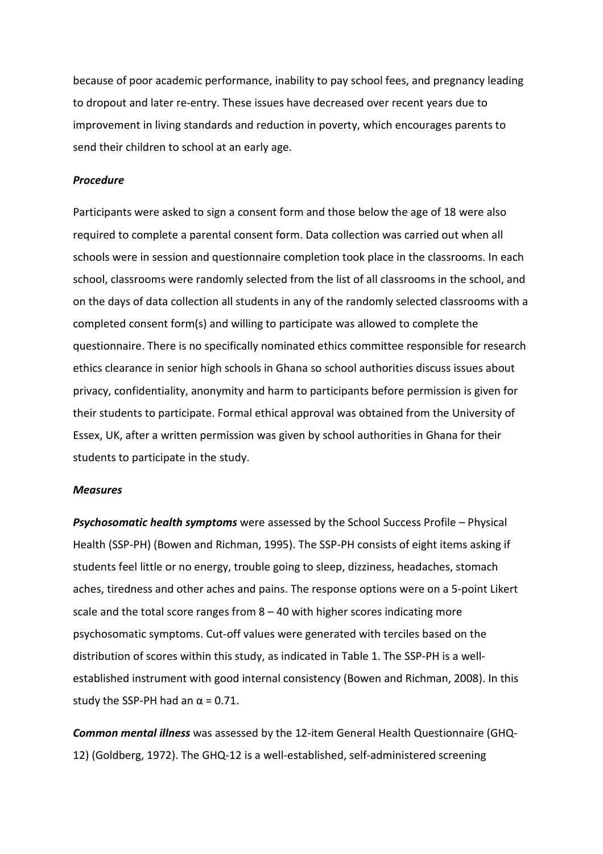because of poor academic performance, inability to pay school fees, and pregnancy leading to dropout and later re-entry. These issues have decreased over recent years due to improvement in living standards and reduction in poverty, which encourages parents to send their children to school at an early age.

#### *Procedure*

Participants were asked to sign a consent form and those below the age of 18 were also required to complete a parental consent form. Data collection was carried out when all schools were in session and questionnaire completion took place in the classrooms. In each school, classrooms were randomly selected from the list of all classrooms in the school, and on the days of data collection all students in any of the randomly selected classrooms with a completed consent form(s) and willing to participate was allowed to complete the questionnaire. There is no specifically nominated ethics committee responsible for research ethics clearance in senior high schools in Ghana so school authorities discuss issues about privacy, confidentiality, anonymity and harm to participants before permission is given for their students to participate. Formal ethical approval was obtained from the University of Essex, UK, after a written permission was given by school authorities in Ghana for their students to participate in the study.

#### *Measures*

*Psychosomatic health symptoms* were assessed by the School Success Profile – Physical Health (SSP-PH) (Bowen and Richman, 1995). The SSP-PH consists of eight items asking if students feel little or no energy, trouble going to sleep, dizziness, headaches, stomach aches, tiredness and other aches and pains. The response options were on a 5-point Likert scale and the total score ranges from  $8 - 40$  with higher scores indicating more psychosomatic symptoms. Cut-off values were generated with terciles based on the distribution of scores within this study, as indicated in Table 1. The SSP-PH is a wellestablished instrument with good internal consistency (Bowen and Richman, 2008). In this study the SSP-PH had an  $\alpha$  = 0.71.

*Common mental illness* was assessed by the 12-item General Health Questionnaire (GHQ-12) (Goldberg, 1972). The GHQ-12 is a well-established, self-administered screening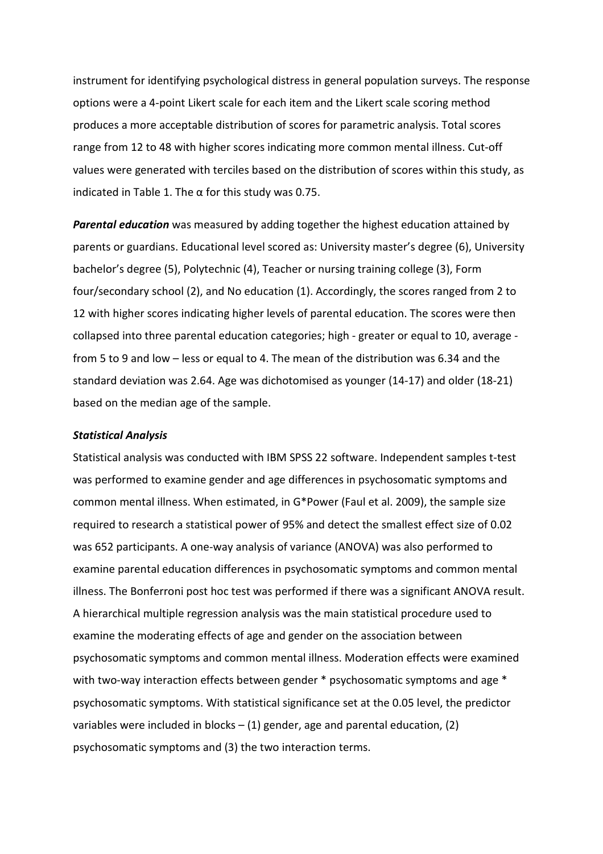instrument for identifying psychological distress in general population surveys. The response options were a 4-point Likert scale for each item and the Likert scale scoring method produces a more acceptable distribution of scores for parametric analysis. Total scores range from 12 to 48 with higher scores indicating more common mental illness. Cut-off values were generated with terciles based on the distribution of scores within this study, as indicated in Table 1. The  $\alpha$  for this study was 0.75.

*Parental education* was measured by adding together the highest education attained by parents or guardians. Educational level scored as: University master's degree (6), University bachelor's degree (5), Polytechnic (4), Teacher or nursing training college (3), Form four/secondary school (2), and No education (1). Accordingly, the scores ranged from 2 to 12 with higher scores indicating higher levels of parental education. The scores were then collapsed into three parental education categories; high - greater or equal to 10, average from 5 to 9 and low – less or equal to 4. The mean of the distribution was 6.34 and the standard deviation was 2.64. Age was dichotomised as younger (14-17) and older (18-21) based on the median age of the sample.

#### *Statistical Analysis*

Statistical analysis was conducted with IBM SPSS 22 software. Independent samples t-test was performed to examine gender and age differences in psychosomatic symptoms and common mental illness. When estimated, in G\*Power (Faul et al. 2009), the sample size required to research a statistical power of 95% and detect the smallest effect size of 0.02 was 652 participants. A one-way analysis of variance (ANOVA) was also performed to examine parental education differences in psychosomatic symptoms and common mental illness. The Bonferroni post hoc test was performed if there was a significant ANOVA result. A hierarchical multiple regression analysis was the main statistical procedure used to examine the moderating effects of age and gender on the association between psychosomatic symptoms and common mental illness. Moderation effects were examined with two-way interaction effects between gender \* psychosomatic symptoms and age \* psychosomatic symptoms. With statistical significance set at the 0.05 level, the predictor variables were included in blocks  $-$  (1) gender, age and parental education, (2) psychosomatic symptoms and (3) the two interaction terms.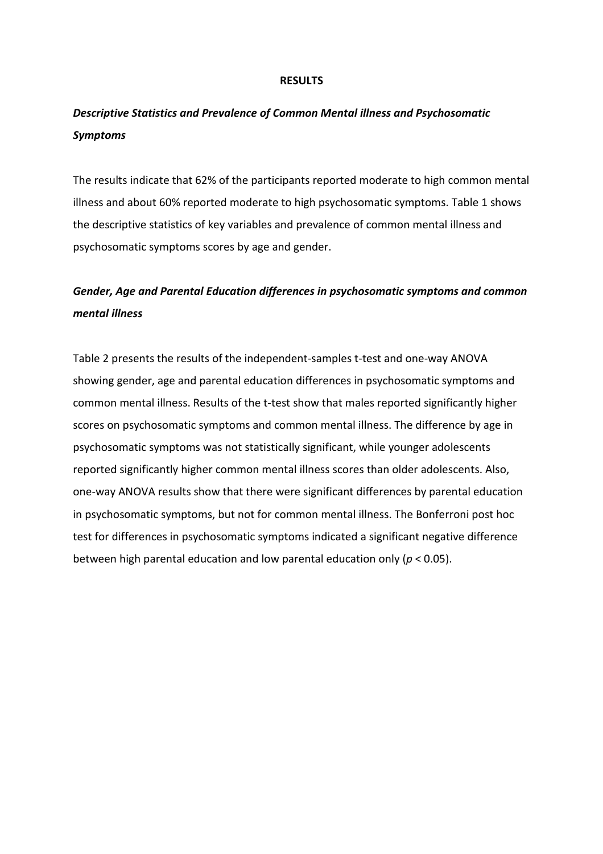#### **RESULTS**

## *Descriptive Statistics and Prevalence of Common Mental illness and Psychosomatic Symptoms*

The results indicate that 62% of the participants reported moderate to high common mental illness and about 60% reported moderate to high psychosomatic symptoms. Table 1 shows the descriptive statistics of key variables and prevalence of common mental illness and psychosomatic symptoms scores by age and gender.

## *Gender, Age and Parental Education differences in psychosomatic symptoms and common mental illness*

Table 2 presents the results of the independent-samples t-test and one-way ANOVA showing gender, age and parental education differences in psychosomatic symptoms and common mental illness. Results of the t-test show that males reported significantly higher scores on psychosomatic symptoms and common mental illness. The difference by age in psychosomatic symptoms was not statistically significant, while younger adolescents reported significantly higher common mental illness scores than older adolescents. Also, one-way ANOVA results show that there were significant differences by parental education in psychosomatic symptoms, but not for common mental illness. The Bonferroni post hoc test for differences in psychosomatic symptoms indicated a significant negative difference between high parental education and low parental education only (*p* < 0.05).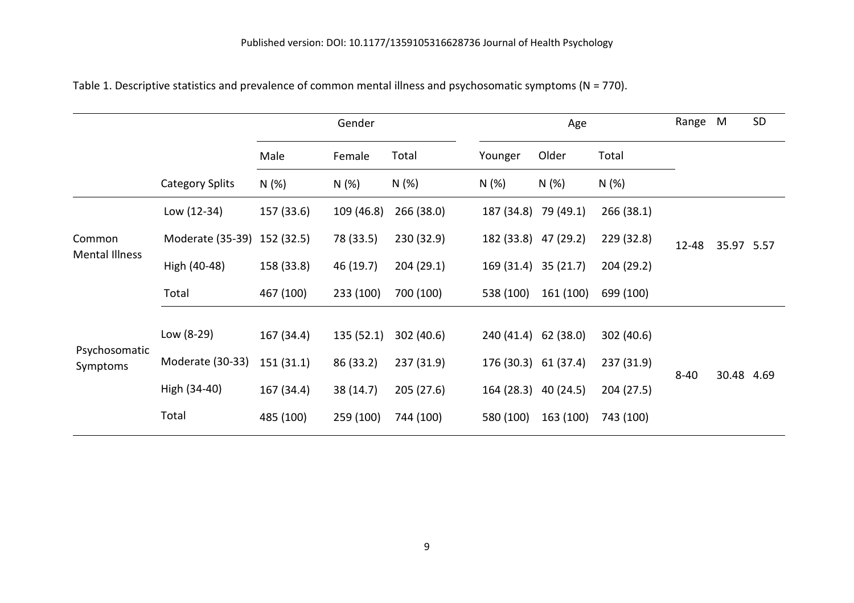|                           |                             | Gender     |            |            |                      | Age       |            | Range    | M          | <b>SD</b> |
|---------------------------|-----------------------------|------------|------------|------------|----------------------|-----------|------------|----------|------------|-----------|
|                           |                             | Male       | Female     | Total      | Younger              | Older     | Total      |          |            |           |
|                           | <b>Category Splits</b>      | N(%)       | N(%)       | N (%)      | N (%)                | N(%)      | N(%)       |          |            |           |
| Common<br>Mental Illness  | Low (12-34)                 | 157 (33.6) | 109 (46.8) | 266 (38.0) | 187 (34.8) 79 (49.1) |           | 266 (38.1) |          | 35.97 5.57 |           |
|                           | Moderate (35-39) 152 (32.5) |            | 78 (33.5)  | 230 (32.9) | 182 (33.8) 47 (29.2) |           | 229 (32.8) | 12-48    |            |           |
|                           | High (40-48)                | 158 (33.8) | 46 (19.7)  | 204(29.1)  | 169 (31.4) 35 (21.7) |           | 204 (29.2) |          |            |           |
|                           | Total                       | 467 (100)  | 233 (100)  | 700 (100)  | 538 (100)            | 161 (100) | 699 (100)  |          |            |           |
|                           |                             |            |            |            |                      |           |            |          |            |           |
| Psychosomatic<br>Symptoms | Low (8-29)                  | 167 (34.4) | 135(52.1)  | 302 (40.6) | 240 (41.4) 62 (38.0) |           | 302 (40.6) |          |            |           |
|                           | Moderate (30-33)            | 151 (31.1) | 86 (33.2)  | 237 (31.9) | 176 (30.3) 61 (37.4) |           | 237 (31.9) | $8 - 40$ | 30.48 4.69 |           |
|                           | High (34-40)                | 167 (34.4) | 38 (14.7)  | 205 (27.6) | 164 (28.3) 40 (24.5) |           | 204 (27.5) |          |            |           |
|                           | Total                       | 485 (100)  | 259 (100)  | 744 (100)  | 580 (100)            | 163 (100) | 743 (100)  |          |            |           |

Table 1. Descriptive statistics and prevalence of common mental illness and psychosomatic symptoms (N = 770).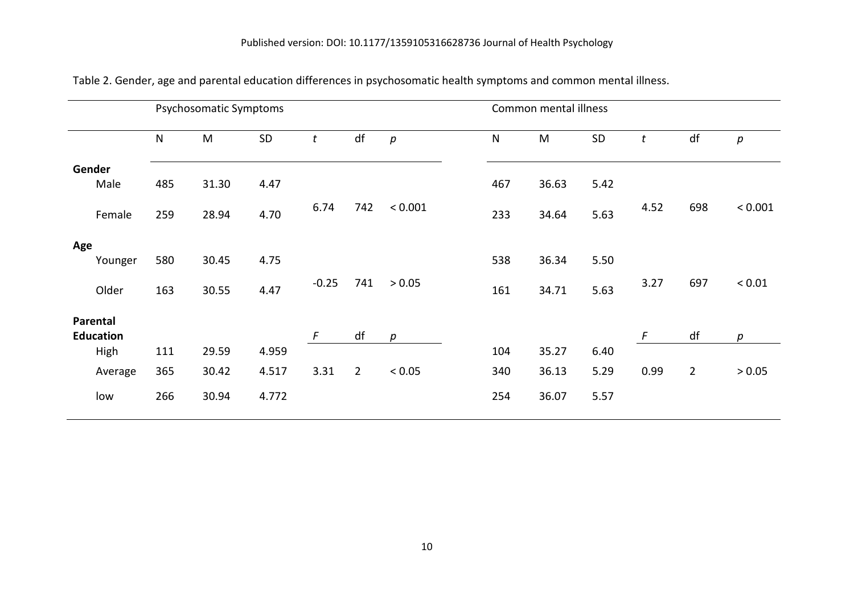|                  |         | Psychosomatic Symptoms |       |       |            |                |         | Common mental illness |       |      |                  |                |            |  |
|------------------|---------|------------------------|-------|-------|------------|----------------|---------|-----------------------|-------|------|------------------|----------------|------------|--|
|                  |         | $\mathsf{N}$           | M     | SD    | t          | df             | p       | $\mathsf{N}$          | M     | SD   | $\boldsymbol{t}$ | df             | р          |  |
| Gender           |         |                        |       |       |            |                |         |                       |       |      |                  |                |            |  |
| Male             |         | 485                    | 31.30 | 4.47  |            |                |         | 467                   | 36.63 | 5.42 |                  |                |            |  |
|                  | Female  | 259                    | 28.94 | 4.70  | 6.74       | 742            | < 0.001 | 233                   | 34.64 | 5.63 | 4.52             | 698            | < 0.001    |  |
| Age              |         |                        |       |       |            |                |         |                       |       |      |                  |                |            |  |
|                  | Younger | 580                    | 30.45 | 4.75  |            |                |         | 538                   | 36.34 | 5.50 |                  |                |            |  |
|                  | Older   | 163                    | 30.55 | 4.47  | $-0.25$    | 741            | > 0.05  | 161                   | 34.71 | 5.63 | 3.27             | 697            | ${}< 0.01$ |  |
| Parental         |         |                        |       |       |            |                |         |                       |       |      |                  |                |            |  |
| <b>Education</b> |         |                        |       |       | $\sqrt{ }$ | df             | p       |                       |       |      | $\sqrt{ }$       | df             | p          |  |
| High             |         | 111                    | 29.59 | 4.959 |            |                |         | 104                   | 35.27 | 6.40 |                  |                |            |  |
|                  | Average | 365                    | 30.42 | 4.517 | 3.31       | $\overline{2}$ | < 0.05  | 340                   | 36.13 | 5.29 | 0.99             | $\overline{2}$ | > 0.05     |  |
| low              |         | 266                    | 30.94 | 4.772 |            |                |         | 254                   | 36.07 | 5.57 |                  |                |            |  |

Table 2. Gender, age and parental education differences in psychosomatic health symptoms and common mental illness.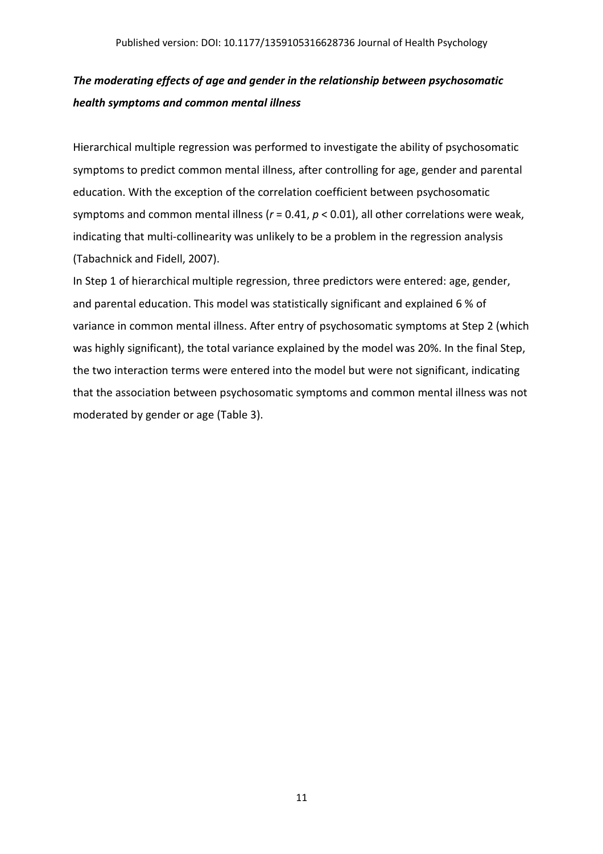# *The moderating effects of age and gender in the relationship between psychosomatic health symptoms and common mental illness*

Hierarchical multiple regression was performed to investigate the ability of psychosomatic symptoms to predict common mental illness, after controlling for age, gender and parental education. With the exception of the correlation coefficient between psychosomatic symptoms and common mental illness (*r* = 0.41, *p* < 0.01), all other correlations were weak, indicating that multi-collinearity was unlikely to be a problem in the regression analysis (Tabachnick and Fidell, 2007).

In Step 1 of hierarchical multiple regression, three predictors were entered: age, gender, and parental education. This model was statistically significant and explained 6 % of variance in common mental illness. After entry of psychosomatic symptoms at Step 2 (which was highly significant), the total variance explained by the model was 20%. In the final Step, the two interaction terms were entered into the model but were not significant, indicating that the association between psychosomatic symptoms and common mental illness was not moderated by gender or age (Table 3).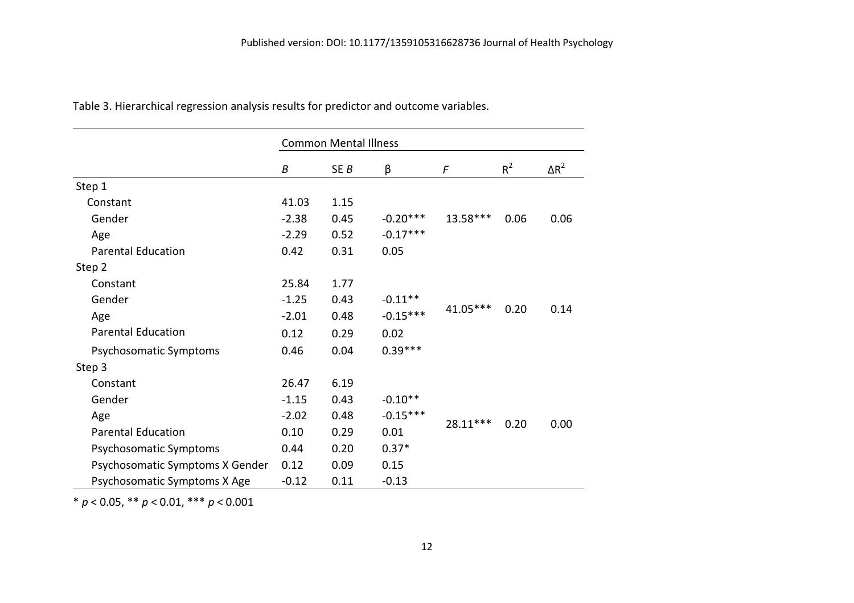|                                 | <b>Common Mental Illness</b> |                 |            |            |       |              |  |  |  |
|---------------------------------|------------------------------|-----------------|------------|------------|-------|--------------|--|--|--|
|                                 | B                            | SE <sub>B</sub> | β          | F          | $R^2$ | $\Delta R^2$ |  |  |  |
| Step 1                          |                              |                 |            |            |       |              |  |  |  |
| Constant                        | 41.03                        | 1.15            |            |            |       |              |  |  |  |
| Gender                          | $-2.38$                      | 0.45            | $-0.20***$ | 13.58***   | 0.06  | 0.06         |  |  |  |
| Age                             | $-2.29$                      | 0.52            | $-0.17***$ |            |       |              |  |  |  |
| <b>Parental Education</b>       | 0.42                         | 0.31            | 0.05       |            |       |              |  |  |  |
| Step 2                          |                              |                 |            |            |       |              |  |  |  |
| Constant                        | 25.84                        | 1.77            |            |            | 0.20  | 0.14         |  |  |  |
| Gender                          | $-1.25$                      | 0.43            | $-0.11**$  | $41.05***$ |       |              |  |  |  |
| Age                             | $-2.01$                      | 0.48            | $-0.15***$ |            |       |              |  |  |  |
| <b>Parental Education</b>       | 0.12                         | 0.29            | 0.02       |            |       |              |  |  |  |
| Psychosomatic Symptoms          | 0.46                         | 0.04            | $0.39***$  |            |       |              |  |  |  |
| Step 3                          |                              |                 |            |            |       |              |  |  |  |
| Constant                        | 26.47                        | 6.19            |            |            | 0.20  |              |  |  |  |
| Gender                          | $-1.15$                      | 0.43            | $-0.10**$  |            |       |              |  |  |  |
| Age                             | $-2.02$                      | 0.48            | $-0.15***$ |            |       |              |  |  |  |
| <b>Parental Education</b>       | 0.10                         | 0.29            | 0.01       | 28.11***   |       | 0.00         |  |  |  |
| Psychosomatic Symptoms          | 0.44                         | 0.20            | $0.37*$    |            |       |              |  |  |  |
| Psychosomatic Symptoms X Gender | 0.12                         | 0.09            | 0.15       |            |       |              |  |  |  |
| Psychosomatic Symptoms X Age    | $-0.12$                      | 0.11            | $-0.13$    |            |       |              |  |  |  |

Table 3. Hierarchical regression analysis results for predictor and outcome variables.

\* *p* < 0.05, \*\* *p* < 0.01, \*\*\* *p* < 0.001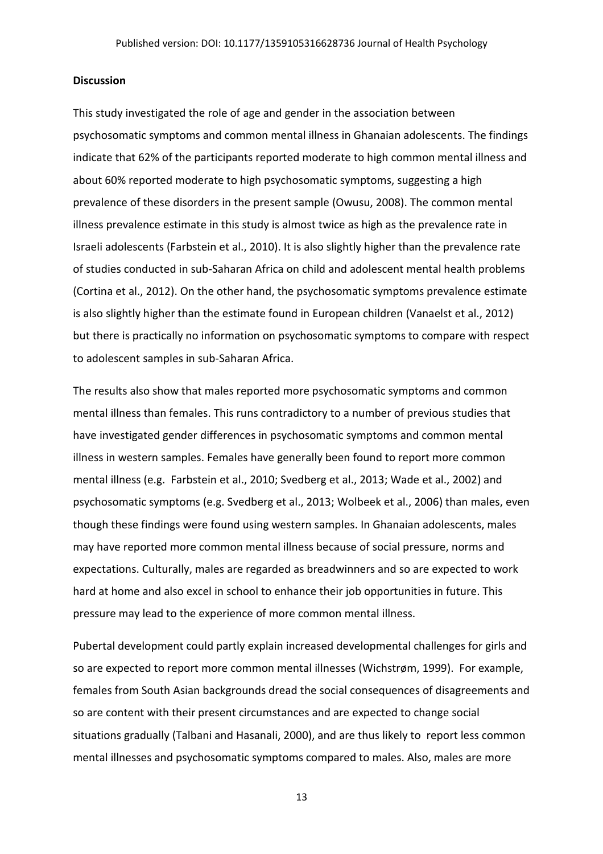### **Discussion**

This study investigated the role of age and gender in the association between psychosomatic symptoms and common mental illness in Ghanaian adolescents. The findings indicate that 62% of the participants reported moderate to high common mental illness and about 60% reported moderate to high psychosomatic symptoms, suggesting a high prevalence of these disorders in the present sample (Owusu, 2008). The common mental illness prevalence estimate in this study is almost twice as high as the prevalence rate in Israeli adolescents (Farbstein et al., 2010). It is also slightly higher than the prevalence rate of studies conducted in sub-Saharan Africa on child and adolescent mental health problems (Cortina et al., 2012). On the other hand, the psychosomatic symptoms prevalence estimate is also slightly higher than the estimate found in European children (Vanaelst et al., 2012) but there is practically no information on psychosomatic symptoms to compare with respect to adolescent samples in sub-Saharan Africa.

The results also show that males reported more psychosomatic symptoms and common mental illness than females. This runs contradictory to a number of previous studies that have investigated gender differences in psychosomatic symptoms and common mental illness in western samples. Females have generally been found to report more common mental illness (e.g. Farbstein et al., 2010; Svedberg et al., 2013; Wade et al., 2002) and psychosomatic symptoms (e.g. Svedberg et al., 2013; Wolbeek et al., 2006) than males, even though these findings were found using western samples. In Ghanaian adolescents, males may have reported more common mental illness because of social pressure, norms and expectations. Culturally, males are regarded as breadwinners and so are expected to work hard at home and also excel in school to enhance their job opportunities in future. This pressure may lead to the experience of more common mental illness.

Pubertal development could partly explain increased developmental challenges for girls and so are expected to report more common mental illnesses (Wichstrøm, 1999). For example, females from South Asian backgrounds dread the social consequences of disagreements and so are content with their present circumstances and are expected to change social situations gradually (Talbani and Hasanali, 2000), and are thus likely to report less common mental illnesses and psychosomatic symptoms compared to males. Also, males are more

13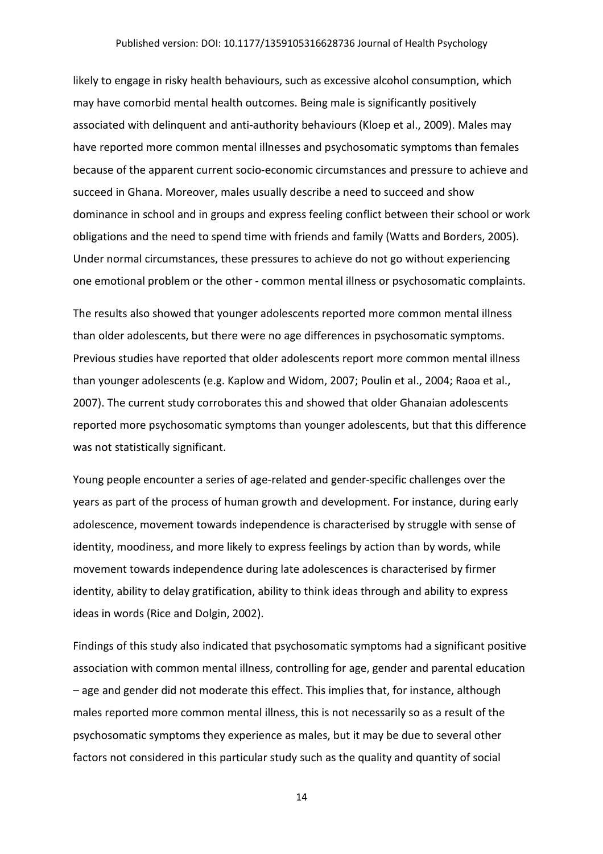likely to engage in risky health behaviours, such as excessive alcohol consumption, which may have comorbid mental health outcomes. Being male is significantly positively associated with delinquent and anti-authority behaviours (Kloep et al., 2009). Males may have reported more common mental illnesses and psychosomatic symptoms than females because of the apparent current socio-economic circumstances and pressure to achieve and succeed in Ghana. Moreover, males usually describe a need to succeed and show dominance in school and in groups and express feeling conflict between their school or work obligations and the need to spend time with friends and family (Watts and Borders, 2005). Under normal circumstances, these pressures to achieve do not go without experiencing one emotional problem or the other - common mental illness or psychosomatic complaints.

The results also showed that younger adolescents reported more common mental illness than older adolescents, but there were no age differences in psychosomatic symptoms. Previous studies have reported that older adolescents report more common mental illness than younger adolescents (e.g. Kaplow and Widom, 2007; Poulin et al., 2004; Raoa et al., 2007). The current study corroborates this and showed that older Ghanaian adolescents reported more psychosomatic symptoms than younger adolescents, but that this difference was not statistically significant.

Young people encounter a series of age-related and gender-specific challenges over the years as part of the process of human growth and development. For instance, during early adolescence, movement towards independence is characterised by struggle with sense of identity, moodiness, and more likely to express feelings by action than by words, while movement towards independence during late adolescences is characterised by firmer identity, ability to delay gratification, ability to think ideas through and ability to express ideas in words (Rice and Dolgin, 2002).

Findings of this study also indicated that psychosomatic symptoms had a significant positive association with common mental illness, controlling for age, gender and parental education – age and gender did not moderate this effect. This implies that, for instance, although males reported more common mental illness, this is not necessarily so as a result of the psychosomatic symptoms they experience as males, but it may be due to several other factors not considered in this particular study such as the quality and quantity of social

14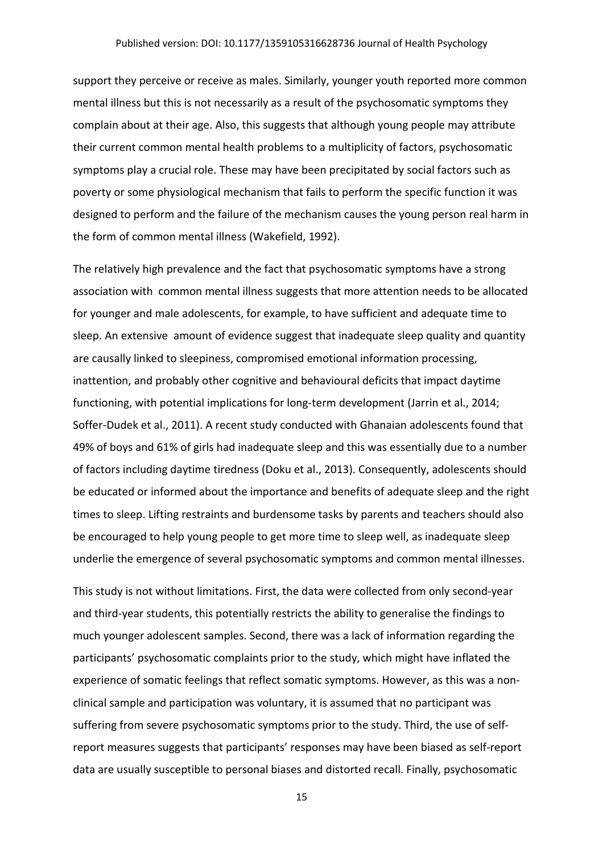support they perceive or receive as males. Similarly, younger youth reported more common mental illness but this is not necessarily as a result of the psychosomatic symptoms they complain about at their age. Also, this suggests that although young people may attribute their current common mental health problems to a multiplicity of factors, psychosomatic symptoms play a crucial role. These may have been precipitated by social factors such as poverty or some physiological mechanism that fails to perform the specific function it was designed to perform and the failure of the mechanism causes the young person real harm in the form of common mental illness (Wakefield, 1992).

The relatively high prevalence and the fact that psychosomatic symptoms have a strong association with common mental illness suggests that more attention needs to be allocated for younger and male adolescents, for example, to have sufficient and adequate time to sleep. An extensive amount of evidence suggest that inadequate sleep quality and quantity are causally linked to sleepiness, compromised emotional information processing, inattention, and probably other cognitive and behavioural deficits that impact daytime functioning, with potential implications for long-term development (Jarrin et al., 2014; Soffer-Dudek et al., 2011). A recent study conducted with Ghanaian adolescents found that 49% of boys and 61% of girls had inadequate sleep and this was essentially due to a number of factors including daytime tiredness (Doku et al., 2013). Consequently, adolescents should be educated or informed about the importance and benefits of adequate sleep and the right times to sleep. Lifting restraints and burdensome tasks by parents and teachers should also be encouraged to help young people to get more time to sleep well, as inadequate sleep underlie the emergence of several psychosomatic symptoms and common mental illnesses.

This study is not without limitations. First, the data were collected from only second-year and third-year students, this potentially restricts the ability to generalise the findings to much younger adolescent samples. Second, there was a lack of information regarding the participants' psychosomatic complaints prior to the study, which might have inflated the experience of somatic feelings that reflect somatic symptoms. However, as this was a nonclinical sample and participation was voluntary, it is assumed that no participant was suffering from severe psychosomatic symptoms prior to the study. Third, the use of selfreport measures suggests that participants' responses may have been biased as self-report data are usually susceptible to personal biases and distorted recall. Finally, psychosomatic

15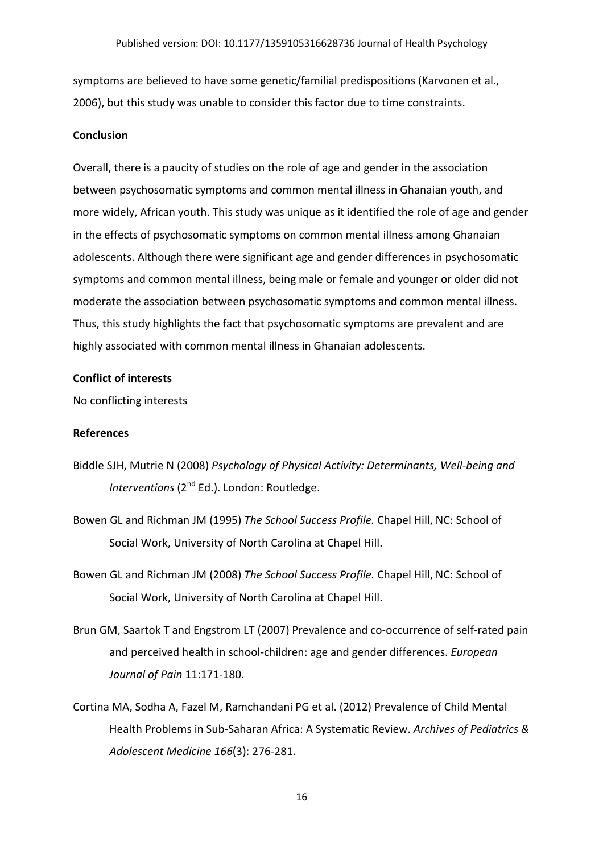symptoms are believed to have some genetic/familial predispositions (Karvonen et al., 2006), but this study was unable to consider this factor due to time constraints.

## **Conclusion**

Overall, there is a paucity of studies on the role of age and gender in the association between psychosomatic symptoms and common mental illness in Ghanaian youth, and more widely, African youth. This study was unique as it identified the role of age and gender in the effects of psychosomatic symptoms on common mental illness among Ghanaian adolescents. Although there were significant age and gender differences in psychosomatic symptoms and common mental illness, being male or female and younger or older did not moderate the association between psychosomatic symptoms and common mental illness. Thus, this study highlights the fact that psychosomatic symptoms are prevalent and are highly associated with common mental illness in Ghanaian adolescents.

### **Conflict of interests**

No conflicting interests

## **References**

- Biddle SJH, Mutrie N (2008) *Psychology of Physical Activity: Determinants, Well-being and Interventions* (2<sup>nd</sup> Ed.). London: Routledge.
- Bowen GL and Richman JM (1995) *The School Success Profile.* Chapel Hill, NC: School of Social Work, University of North Carolina at Chapel Hill.
- Bowen GL and Richman JM (2008) *The School Success Profile.* Chapel Hill, NC: School of Social Work, University of North Carolina at Chapel Hill.
- Brun GM, Saartok T and Engstrom LT (2007) Prevalence and co-occurrence of self-rated pain and perceived health in school-children: age and gender differences. *European Journal of Pain* 11:171-180.
- Cortina MA, Sodha A, Fazel M, Ramchandani PG et al. (2012) Prevalence of Child Mental Health Problems in Sub-Saharan Africa: A Systematic Review. *Archives of Pediatrics & Adolescent Medicine 166*(3): 276-281.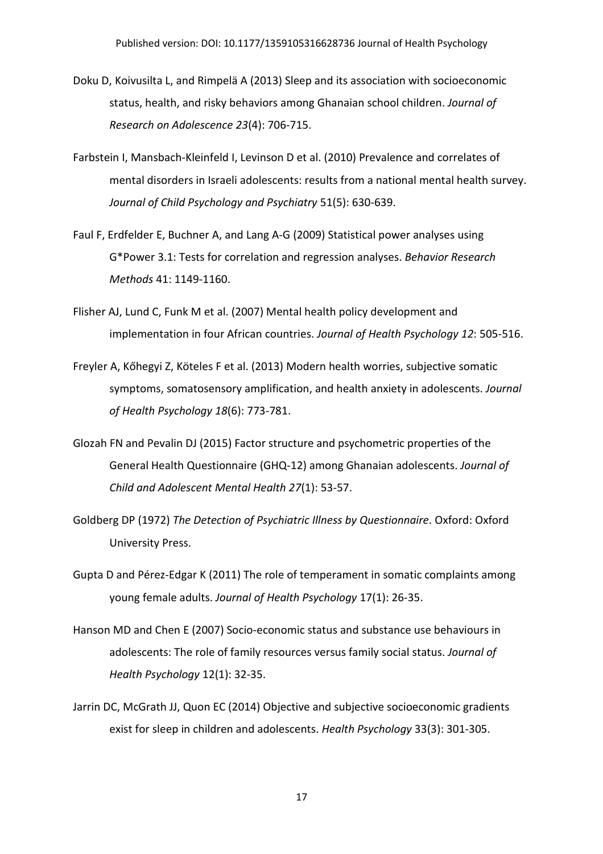- Doku D, Koivusilta L, and Rimpelä A (2013) Sleep and its association with socioeconomic status, health, and risky behaviors among Ghanaian school children. *Journal of Research on Adolescence 23*(4): 706-715.
- Farbstein I, Mansbach-Kleinfeld I, Levinson D et al. (2010) Prevalence and correlates of mental disorders in Israeli adolescents: results from a national mental health survey. *Journal of Child Psychology and Psychiatry* 51(5): 630-639.
- Faul F, Erdfelder E, Buchner A, and Lang A-G (2009) Statistical power analyses using G\*Power 3.1: Tests for correlation and regression analyses. *Behavior Research Methods* 41: 1149-1160.
- Flisher AJ, Lund C, Funk M et al. (2007) Mental health policy development and implementation in four African countries. *Journal of Health Psychology 12*: 505-516.
- Freyler A, Kőhegyi Z, Köteles F et al. (2013) Modern health worries, subjective somatic symptoms, somatosensory amplification, and health anxiety in adolescents. *Journal of Health Psychology 18*(6): 773-781.
- Glozah FN and Pevalin DJ (2015) Factor structure and psychometric properties of the General Health Questionnaire (GHQ-12) among Ghanaian adolescents. *Journal of Child and Adolescent Mental Health 27*(1): 53-57.
- Goldberg DP (1972) *The Detection of Psychiatric Illness by Questionnaire*. Oxford: Oxford University Press.
- Gupta D and Pérez-Edgar K (2011) The role of temperament in somatic complaints among young female adults. *Journal of Health Psychology* 17(1): 26-35.
- Hanson MD and Chen E (2007) Socio-economic status and substance use behaviours in adolescents: The role of family resources versus family social status. *Journal of Health Psychology* 12(1): 32-35.
- Jarrin DC, McGrath JJ, Quon EC (2014) Objective and subjective socioeconomic gradients exist for sleep in children and adolescents. *Health Psychology* 33(3): 301-305.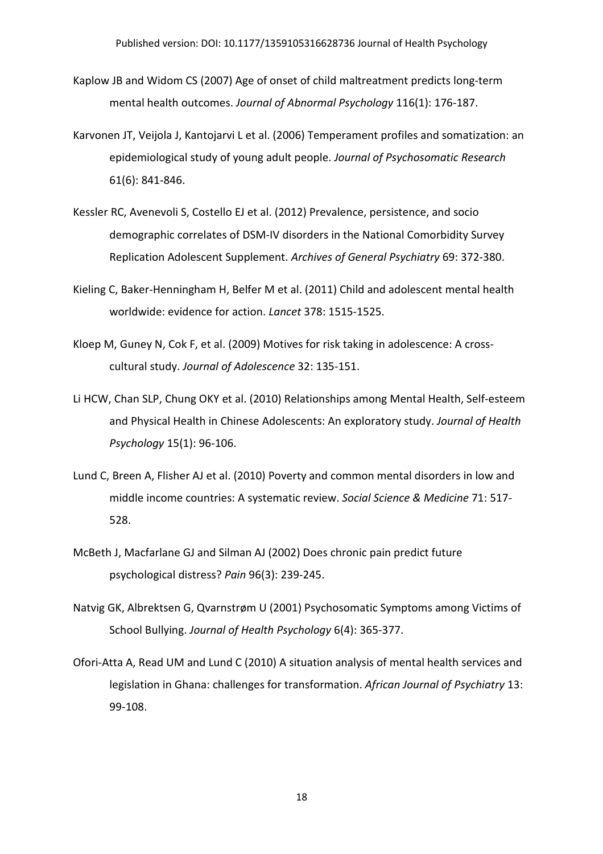- Kaplow JB and Widom CS (2007) Age of onset of child maltreatment predicts long-term mental health outcomes. *Journal of Abnormal Psychology* 116(1): 176-187.
- Karvonen JT, Veijola J, Kantojarvi L et al. (2006) Temperament profiles and somatization: an epidemiological study of young adult people. *Journal of Psychosomatic Research* 61(6): 841-846.
- Kessler RC, Avenevoli S, Costello EJ et al. (2012) Prevalence, persistence, and socio demographic correlates of DSM-IV disorders in the National Comorbidity Survey Replication Adolescent Supplement. *Archives of General Psychiatry* 69: 372-380.
- Kieling C, Baker-Henningham H, Belfer M et al. (2011) Child and adolescent mental health worldwide: evidence for action. *Lancet* 378: 1515-1525.
- Kloep M, Guney N, Cok F, et al. (2009) Motives for risk taking in adolescence: A crosscultural study. *Journal of Adolescence* 32: 135-151.
- Li HCW, Chan SLP, Chung OKY et al. (2010) Relationships among Mental Health, Self-esteem and Physical Health in Chinese Adolescents: An exploratory study. *Journal of Health Psychology* 15(1): 96-106.
- Lund C, Breen A, Flisher AJ et al. (2010) Poverty and common mental disorders in low and middle income countries: A systematic review. *Social Science & Medicine* 71: 517- 528.
- McBeth J, Macfarlane GJ and Silman AJ (2002) Does chronic pain predict future psychological distress? *Pain* 96(3): 239-245.
- Natvig GK, Albrektsen G, Qvarnstrøm U (2001) Psychosomatic Symptoms among Victims of School Bullying. *Journal of Health Psychology* 6(4): 365-377.
- Ofori-Atta A, Read UM and Lund C (2010) A situation analysis of mental health services and legislation in Ghana: challenges for transformation. *African Journal of Psychiatry* 13: 99-108.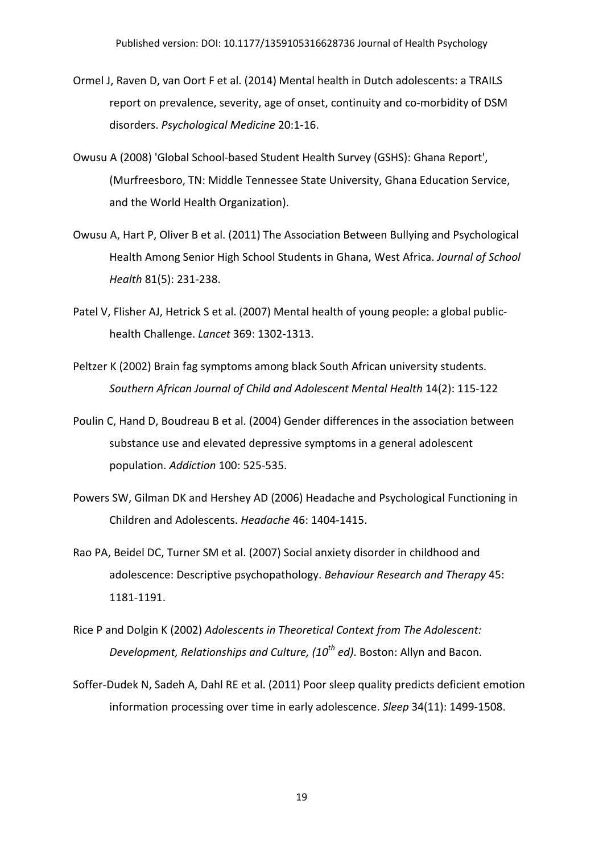- Ormel J, Raven D, van Oort F et al. (2014) Mental health in Dutch adolescents: a TRAILS report on prevalence, severity, age of onset, continuity and co-morbidity of DSM disorders. *Psychological Medicine* 20:1-16.
- Owusu A (2008) 'Global School-based Student Health Survey (GSHS): Ghana Report', (Murfreesboro, TN: Middle Tennessee State University, Ghana Education Service, and the World Health Organization).
- Owusu A, Hart P, Oliver B et al. (2011) The Association Between Bullying and Psychological Health Among Senior High School Students in Ghana, West Africa. *Journal of School Health* 81(5): 231-238.
- Patel V, Flisher AJ, Hetrick S et al. (2007) Mental health of young people: a global publichealth Challenge. *Lancet* 369: 1302-1313.
- Peltzer K (2002) Brain fag symptoms among black South African university students. *Southern African Journal of Child and Adolescent Mental Health* 14(2): 115-122
- Poulin C, Hand D, Boudreau B et al. (2004) Gender differences in the association between substance use and elevated depressive symptoms in a general adolescent population. *Addiction* 100: 525-535.
- Powers SW, Gilman DK and Hershey AD (2006) Headache and Psychological Functioning in Children and Adolescents. *Headache* 46: 1404-1415.
- Rao PA, Beidel DC, Turner SM et al. (2007) Social anxiety disorder in childhood and adolescence: Descriptive psychopathology. *Behaviour Research and Therapy* 45: 1181-1191.
- Rice P and Dolgin K (2002) *Adolescents in Theoretical Context from The Adolescent: Development, Relationships and Culture, (10th ed)*. Boston: Allyn and Bacon.
- Soffer-Dudek N, Sadeh A, Dahl RE et al. (2011) Poor sleep quality predicts deficient emotion information processing over time in early adolescence. *Sleep* 34(11): 1499-1508.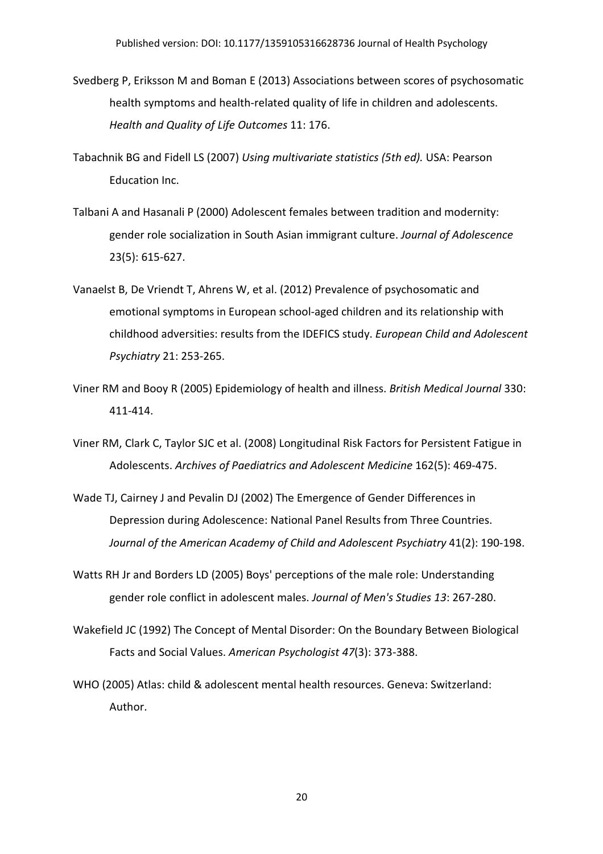- Svedberg P, Eriksson M and Boman E (2013) Associations between scores of psychosomatic health symptoms and health-related quality of life in children and adolescents. *Health and Quality of Life Outcomes* 11: 176.
- Tabachnik BG and Fidell LS (2007) *Using multivariate statistics (5th ed).* USA: Pearson Education Inc.
- Talbani A and Hasanali P (2000) Adolescent females between tradition and modernity: gender role socialization in South Asian immigrant culture. *Journal of Adolescence* 23(5): 615-627.
- Vanaelst B, De Vriendt T, Ahrens W, et al. (2012) Prevalence of psychosomatic and emotional symptoms in European school-aged children and its relationship with childhood adversities: results from the IDEFICS study. *European Child and Adolescent Psychiatry* 21: 253-265.
- Viner RM and Booy R (2005) Epidemiology of health and illness. *British Medical Journal* 330: 411-414.
- Viner RM, Clark C, Taylor SJC et al. (2008) Longitudinal Risk Factors for Persistent Fatigue in Adolescents. *Archives of Paediatrics and Adolescent Medicine* 162(5): 469-475.
- Wade TJ, Cairney J and Pevalin DJ (2002) The Emergence of Gender Differences in Depression during Adolescence: National Panel Results from Three Countries. *Journal of the American Academy of Child and Adolescent Psychiatry* 41(2): 190-198.
- Watts RH Jr and Borders LD (2005) Boys' perceptions of the male role: Understanding gender role conflict in adolescent males. *Journal of Men's Studies 13*: 267-280.
- Wakefield JC (1992) The Concept of Mental Disorder: On the Boundary Between Biological Facts and Social Values. *American Psychologist 47*(3): 373-388.
- WHO (2005) Atlas: child & adolescent mental health resources. Geneva: Switzerland: Author.